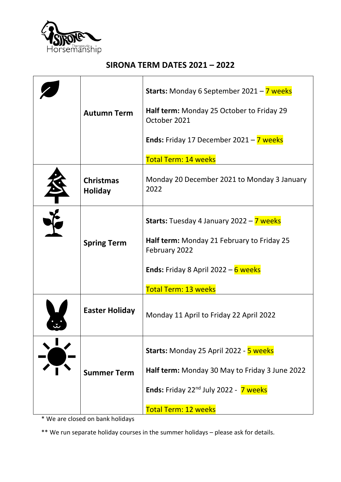

## **SIRONA TERM DATES 2021 – 2022**

|                                    | <b>Starts:</b> Monday 6 September 2021 - 7 weeks                      |
|------------------------------------|-----------------------------------------------------------------------|
| <b>Autumn Term</b>                 | Half term: Monday 25 October to Friday 29<br>October 2021             |
|                                    | <b>Ends:</b> Friday 17 December 2021 - $\overline{7}$ weeks           |
|                                    | <b>Total Term: 14 weeks</b>                                           |
| <b>Christmas</b><br><b>Holiday</b> | Monday 20 December 2021 to Monday 3 January<br>2022                   |
|                                    | <b>Starts:</b> Tuesday 4 January 2022 - 7 weeks                       |
| <b>Spring Term</b>                 | Half term: Monday 21 February to Friday 25<br>February 2022           |
|                                    | <b>Ends:</b> Friday 8 April 2022 – $6$ weeks                          |
|                                    | <b>Total Term: 13 weeks</b>                                           |
| <b>Easter Holiday</b>              | Monday 11 April to Friday 22 April 2022                               |
|                                    | Starts: Monday 25 April 2022 - 5 weeks                                |
| <b>Summer Term</b>                 | Half term: Monday 30 May to Friday 3 June 2022                        |
|                                    | <b>Ends:</b> Friday 22 <sup>nd</sup> July 2022 - $\overline{7}$ weeks |
|                                    | <b>Total Term: 12 weeks</b>                                           |

\* We are closed on bank holidays

\*\* We run separate holiday courses in the summer holidays – please ask for details.